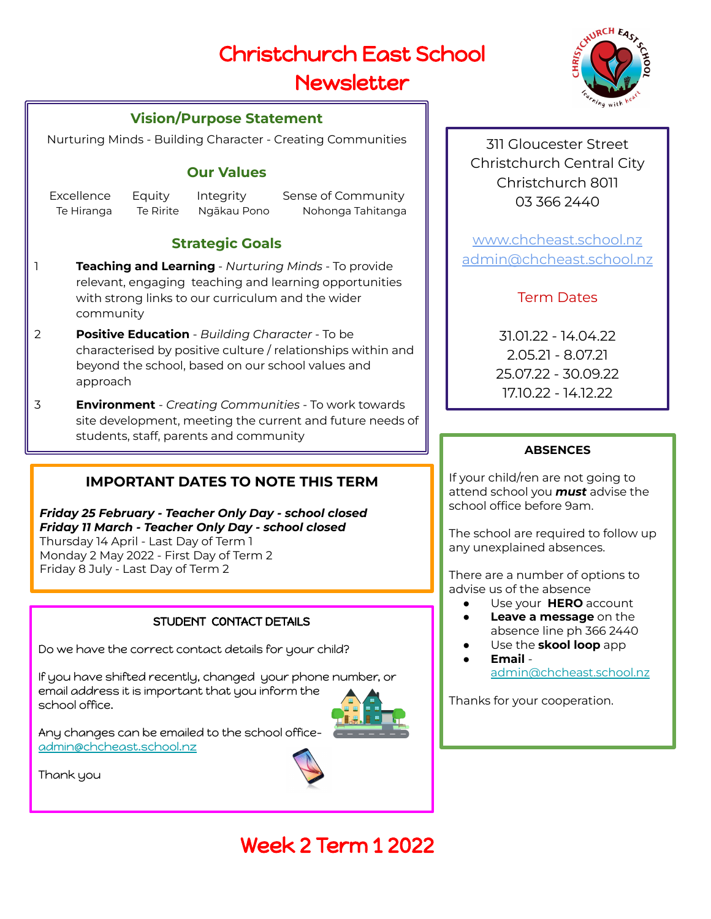# Christchurch East School

## Newsletter

### **Vision/Purpose Statement**

Nurturing Minds - Building Character - Creating Communities

### **Our Values**

Excellence Equity Integrity Sense of Community Te Hiranga Te Ririte Ngākau Pono Nohonga Tahitanga

### **Strategic Goals**

- 1 **Teaching and Learning** *Nurturing Minds*  To provide relevant, engaging teaching and learning opportunities with strong links to our curriculum and the wider community
- 2 **Positive Education**  *Building Character* To be characterised by positive culture / relationships within and beyond the school, based on our school values and approach
- 3 **Environment**  *Creating Communities*  To work towards site development, meeting the current and future needs of students, staff, parents and community

## **IMPORTANT DATES TO NOTE THIS TERM**

*Friday 25 February - Teacher Only Day - school closed Friday 11 March - Teacher Only Day - school closed* Thursday 14 April - Last Day of Term 1 Monday 2 May 2022 - First Day of Term 2 Friday 8 July - Last Day of Term 2

### STUDENT CONTACT DETAILS

Do we have the correct contact details for your child?

If you have shifted recently, changed your phone number, or email address it is important that you inform the school office.



Any changes can be emailed to the school office[admin@chcheast.school.nz](mailto:admin@chcheast.school.nz)

Thank you



311 Gloucester Street Christchurch Central City Christchurch 8011 03 366 2440

[www.chcheast.school.nz](http://www.chcheast.school.nz) [admin@chcheast.school.nz](mailto:admin@chcheast.school.nz)

### Term Dates

31.01.22 - 14.04.22 2.05.21 - 8.07.21 25.07.22 - 30.09.22 17.10.22 - 14.12.22

### **ABSENCES**

If your child/ren are not going to attend school you *must* advise the school office before 9am.

The school are required to follow up any unexplained absences.

There are a number of options to advise us of the absence

- Use your **HERO** account
- **Leave a message** on the absence line ph 366 2440
- Use the **skool loop** app
- **Email**  [admin@chcheast.school.nz](mailto:admin@chcheast.school.nz)

Thanks for your cooperation.

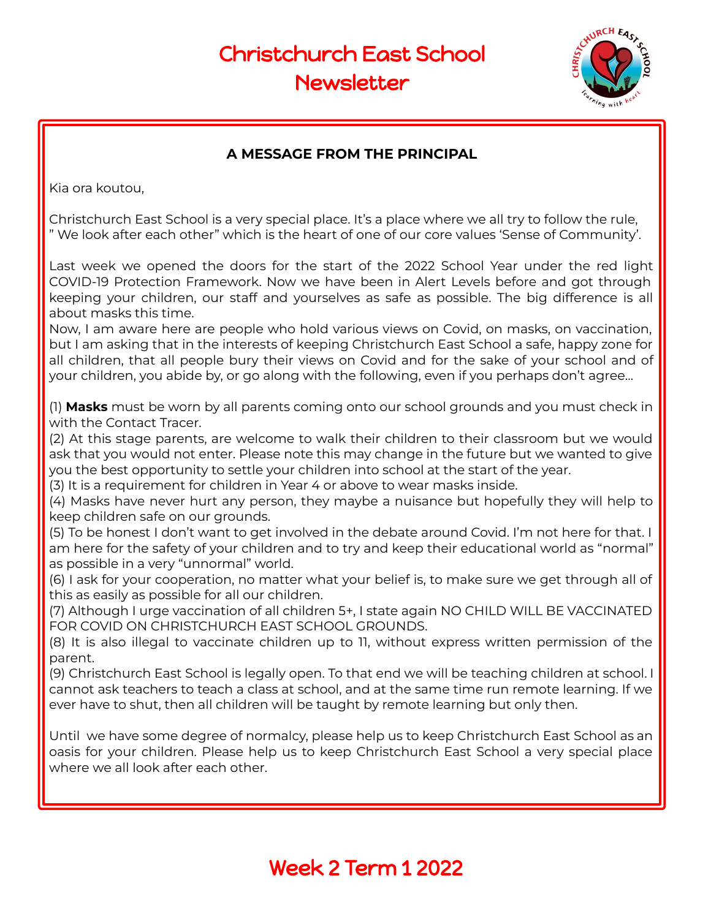

### **A MESSAGE FROM THE PRINCIPAL**

Kia ora koutou,

Christchurch East School is a very special place. It's a place where we all try to follow the rule, " We look after each other" which is the heart of one of our core values 'Sense of Community'.

Last week we opened the doors for the start of the 2022 School Year under the red light COVID-19 Protection Framework. Now we have been in Alert Levels before and got through keeping your children, our staff and yourselves as safe as possible. The big difference is all about masks this time.

Now, I am aware here are people who hold various views on Covid, on masks, on vaccination, but I am asking that in the interests of keeping Christchurch East School a safe, happy zone for all children, that all people bury their views on Covid and for the sake of your school and of your children, you abide by, or go along with the following, even if you perhaps don't agree…

(1) **Masks** must be worn by all parents coming onto our school grounds and you must check in with the Contact Tracer.

(2) At this stage parents, are welcome to walk their children to their classroom but we would ask that you would not enter. Please note this may change in the future but we wanted to give you the best opportunity to settle your children into school at the start of the year.

(3) It is a requirement for children in Year 4 or above to wear masks inside.

(4) Masks have never hurt any person, they maybe a nuisance but hopefully they will help to keep children safe on our grounds.

(5) To be honest I don't want to get involved in the debate around Covid. I'm not here for that. I am here for the safety of your children and to try and keep their educational world as "normal" as possible in a very "unnormal" world.

(6) I ask for your cooperation, no matter what your belief is, to make sure we get through all of this as easily as possible for all our children.

(7) Although I urge vaccination of all children 5+, I state again NO CHILD WILL BE VACCINATED FOR COVID ON CHRISTCHURCH EAST SCHOOL GROUNDS.

(8) It is also illegal to vaccinate children up to 11, without express written permission of the parent.

(9) Christchurch East School is legally open. To that end we will be teaching children at school. I cannot ask teachers to teach a class at school, and at the same time run remote learning. If we ever have to shut, then all children will be taught by remote learning but only then.

Until we have some degree of normalcy, please help us to keep Christchurch East School as an oasis for your children. Please help us to keep Christchurch East School a very special place where we all look after each other.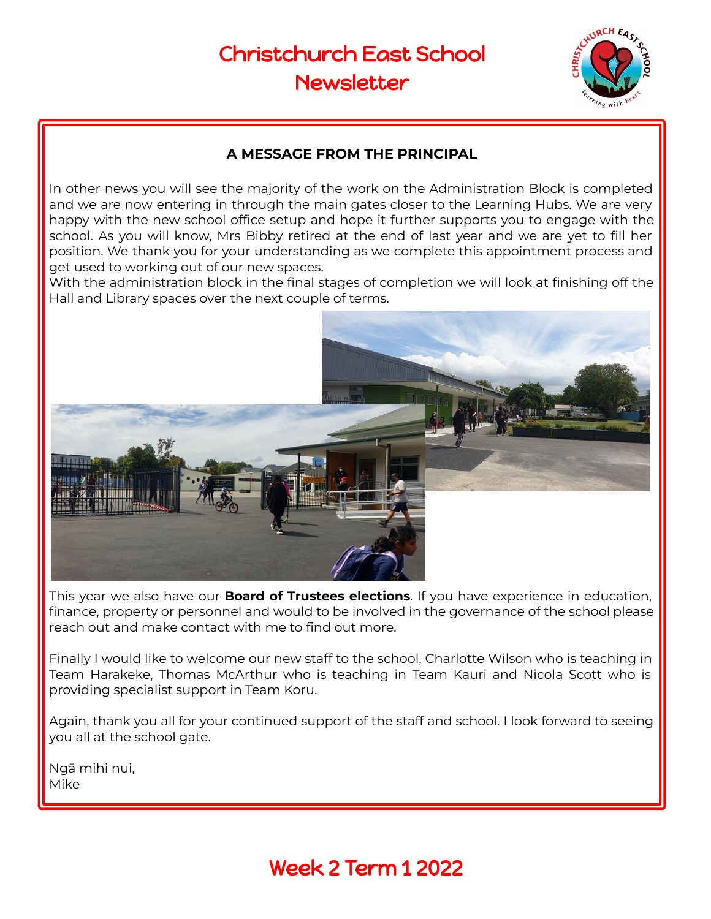

### **A MESSAGE FROM THE PRINCIPAL**

In other news you will see the majority of the work on the Administration Block is completed and we are now entering in through the main gates closer to the Learning Hubs. We are very happy with the new school office setup and hope it further supports you to engage with the school. As you will know, Mrs Bibby retired at the end of last year and we are yet to fill her position. We thank you for your understanding as we complete this appointment process and get used to working out of our new spaces.

With the administration block in the final stages of completion we will look at finishing off the Hall and Library spaces over the next couple of terms.



This year we also have our **Board of Trustees elections**. If you have experience in education, finance, property or personnel and would to be involved in the governance of the school please reach out and make contact with me to find out more.

Finally I would like to welcome our new staff to the school, Charlotte Wilson who is teaching in Team Harakeke, Thomas McArthur who is teaching in Team Kauri and Nicola Scott who is providing specialist support in Team Koru.

Again, thank you all for your continued support of the staff and school. I look forward to seeing you all at the school gate.

Ngā mihi nui, Mike

## Week 2 Term 1 2022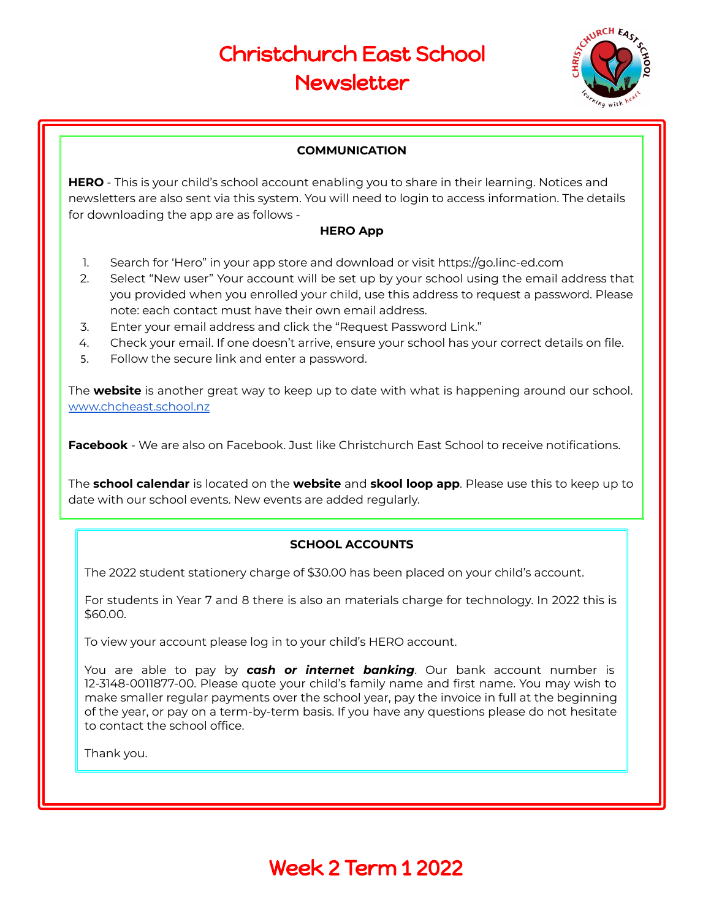

#### **COMMUNICATION**

**HERO** - This is your child's school account enabling you to share in their learning. Notices and newsletters are also sent via this system. You will need to login to access information. The details for downloading the app are as follows -

#### **HERO App**

- 1. Search for 'Hero" in your app store and download or visit https://go.linc-ed.com
- 2. Select "New user" Your account will be set up by your school using the email address that you provided when you enrolled your child, use this address to request a password. Please note: each contact must have their own email address.
- 3. Enter your email address and click the "Request Password Link."
- 4. Check your email. If one doesn't arrive, ensure your school has your correct details on file.
- 5. Follow the secure link and enter a password.

The **website** is another great way to keep up to date with what is happening around our school. [www.chcheast.school.nz](http://www.chcheast.school.nz)

**Facebook** - We are also on Facebook. Just like Christchurch East School to receive notifications.

The **school calendar** is located on the **website** and **skool loop app**. Please use this to keep up to date with our school events. New events are added regularly.

#### **SCHOOL ACCOUNTS**

The 2022 student stationery charge of \$30.00 has been placed on your child's account.

For students in Year 7 and 8 there is also an materials charge for technology. In 2022 this is \$60.00.

To view your account please log in to your child's HERO account.

You are able to pay by *cash or internet banking*. Our bank account number is 12-3148-0011877-00. Please quote your child's family name and first name. You may wish to make smaller regular payments over the school year, pay the invoice in full at the beginning of the year, or pay on a term-by-term basis. If you have any questions please do not hesitate to contact the school office.

Thank you.